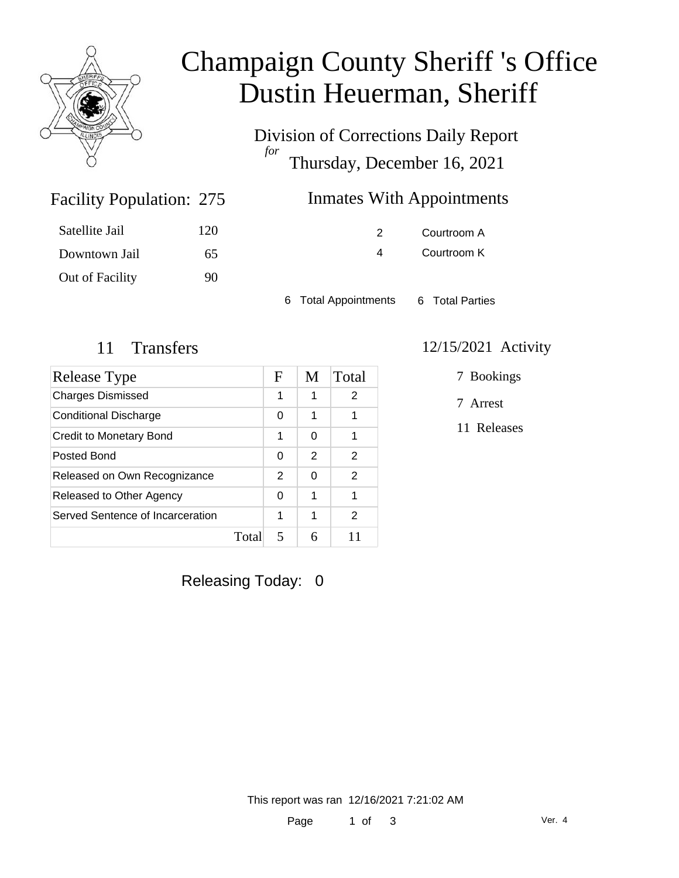

## Champaign County Sheriff 's Office Dustin Heuerman, Sheriff

Division of Corrections Daily Report *for* Thursday, December 16, 2021

#### Inmates With Appointments

| 120 |
|-----|
| 65  |
| 90  |
|     |

Facility Population: 275

2 Courtroom A 4 Courtroom K

6 Total Appointments 6 Total Parties

| Release Type                     |      | F | M | Total |
|----------------------------------|------|---|---|-------|
| <b>Charges Dismissed</b>         |      | 1 | 1 | 2     |
| Conditional Discharge            |      | 0 | 1 |       |
| Credit to Monetary Bond          |      | 1 | 0 |       |
| Posted Bond                      |      | 0 | 2 | 2     |
| Released on Own Recognizance     |      | 2 | 0 | 2     |
| Released to Other Agency         |      | 0 | 1 | 1     |
| Served Sentence of Incarceration |      | 1 | 1 | 2     |
|                                  | Tota | 5 |   |       |

#### 11 Transfers 12/15/2021 Activity

7 Bookings

7 Arrest

11 Releases

Releasing Today: 0

This report was ran 12/16/2021 7:21:02 AM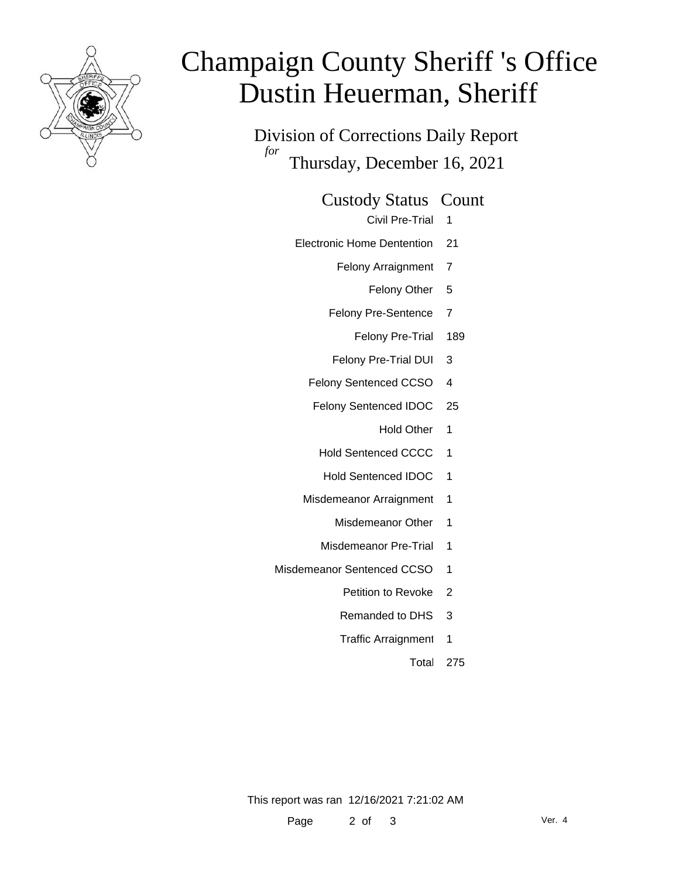

# Champaign County Sheriff 's Office Dustin Heuerman, Sheriff

Division of Corrections Daily Report *for* Thursday, December 16, 2021

Custody Status Count

- Civil Pre-Trial 1
- Electronic Home Dentention 21
	- Felony Arraignment 7
		- Felony Other 5
	- Felony Pre-Sentence 7
		- Felony Pre-Trial 189
	- Felony Pre-Trial DUI 3
	- Felony Sentenced CCSO 4
	- Felony Sentenced IDOC 25
		- Hold Other 1
		- Hold Sentenced CCCC 1
		- Hold Sentenced IDOC 1
	- Misdemeanor Arraignment 1
		- Misdemeanor Other 1
		- Misdemeanor Pre-Trial 1
- Misdemeanor Sentenced CCSO 1
	- Petition to Revoke 2
	- Remanded to DHS 3
	- Traffic Arraignment 1
		- Total 275